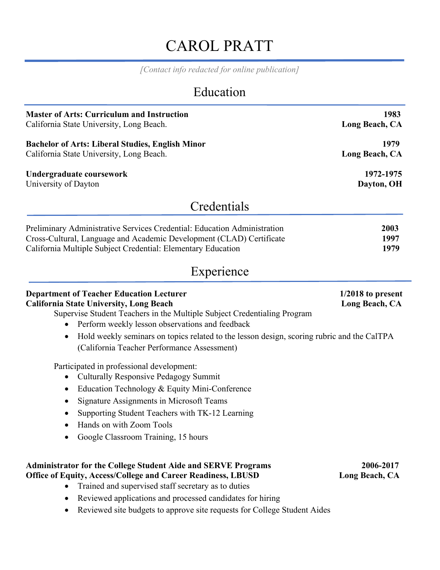# CAROL PRATT

*[Contact info redacted for online publication]*

## Education

| <b>Master of Arts: Curriculum and Instruction</b><br>California State University, Long Beach.                                                                                                                                                                                                                                                                                              | 1983<br>Long Beach, CA                |
|--------------------------------------------------------------------------------------------------------------------------------------------------------------------------------------------------------------------------------------------------------------------------------------------------------------------------------------------------------------------------------------------|---------------------------------------|
| <b>Bachelor of Arts: Liberal Studies, English Minor</b><br>California State University, Long Beach.                                                                                                                                                                                                                                                                                        | 1979<br>Long Beach, CA                |
| Undergraduate coursework<br>University of Dayton                                                                                                                                                                                                                                                                                                                                           | 1972-1975<br>Dayton, OH               |
| Credentials                                                                                                                                                                                                                                                                                                                                                                                |                                       |
| Preliminary Administrative Services Credential: Education Administration<br>Cross-Cultural, Language and Academic Development (CLAD) Certificate<br>California Multiple Subject Credential: Elementary Education                                                                                                                                                                           | 2003<br>1997<br>1979                  |
| Experience                                                                                                                                                                                                                                                                                                                                                                                 |                                       |
| <b>Department of Teacher Education Lecturer</b><br><b>California State University, Long Beach</b><br>Supervise Student Teachers in the Multiple Subject Credentialing Program<br>Perform weekly lesson observations and feedback<br>Hold weekly seminars on topics related to the lesson design, scoring rubric and the CalTPA<br>$\bullet$<br>(California Teacher Performance Assessment) | $1/2018$ to present<br>Long Beach, CA |
| Participated in professional development:<br><b>Culturally Responsive Pedagogy Summit</b><br>Education Technology & Equity Mini-Conference<br>$\bullet$<br><b>Signature Assignments in Microsoft Teams</b><br>$\bullet$<br>Supporting Student Teachers with TK-12 Learning<br>Hands on with Zoom Tools<br>Google Classroom Training, 15 hours                                              |                                       |
| <b>Administrator for the College Student Aide and SERVE Programs</b><br>Office of Equity, Access/College and Career Readiness, LBUSD<br>Trained and supervised staff secretary as to duties<br>Reviewed applications and processed candidates for hiring<br>$\bullet$<br>Reviewed site budgets to approve site requests for College Student Aides                                          | 2006-2017<br>Long Beach, CA           |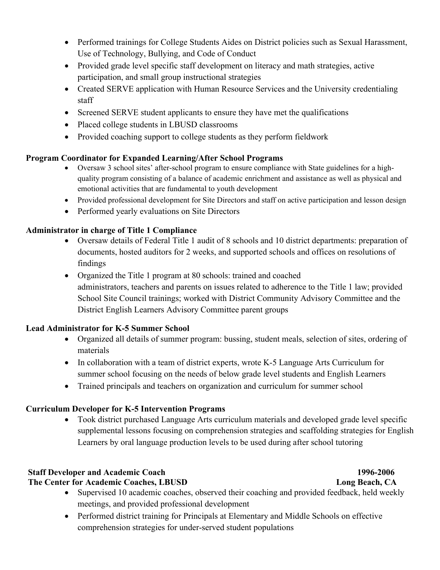- Performed trainings for College Students Aides on District policies such as Sexual Harassment, Use of Technology, Bullying, and Code of Conduct
- Provided grade level specific staff development on literacy and math strategies, active participation, and small group instructional strategies
- Created SERVE application with Human Resource Services and the University credentialing staff
- Screened SERVE student applicants to ensure they have met the qualifications
- Placed college students in LBUSD classrooms
- Provided coaching support to college students as they perform fieldwork

### **Program Coordinator for Expanded Learning/After School Programs**

- Oversaw 3 school sites' after-school program to ensure compliance with State guidelines for a highquality program consisting of a balance of academic enrichment and assistance as well as physical and emotional activities that are fundamental to youth development
- Provided professional development for Site Directors and staff on active participation and lesson design
- Performed yearly evaluations on Site Directors

### **Administrator in charge of Title 1 Compliance**

- Oversaw details of Federal Title 1 audit of 8 schools and 10 district departments: preparation of documents, hosted auditors for 2 weeks, and supported schools and offices on resolutions of findings
- Organized the Title 1 program at 80 schools: trained and coached administrators, teachers and parents on issues related to adherence to the Title 1 law; provided School Site Council trainings; worked with District Community Advisory Committee and the District English Learners Advisory Committee parent groups

### **Lead Administrator for K-5 Summer School**

- Organized all details of summer program: bussing, student meals, selection of sites, ordering of materials
- In collaboration with a team of district experts, wrote K-5 Language Arts Curriculum for summer school focusing on the needs of below grade level students and English Learners
- Trained principals and teachers on organization and curriculum for summer school

### **Curriculum Developer for K-5 Intervention Programs**

• Took district purchased Language Arts curriculum materials and developed grade level specific supplemental lessons focusing on comprehension strategies and scaffolding strategies for English Learners by oral language production levels to be used during after school tutoring

### **Staff Developer and Academic Coach 1996-2006**

**The Center for Academic Coaches, LBUSD Long Beach, CA**

- Supervised 10 academic coaches, observed their coaching and provided feedback, held weekly meetings, and provided professional development
- Performed district training for Principals at Elementary and Middle Schools on effective comprehension strategies for under-served student populations